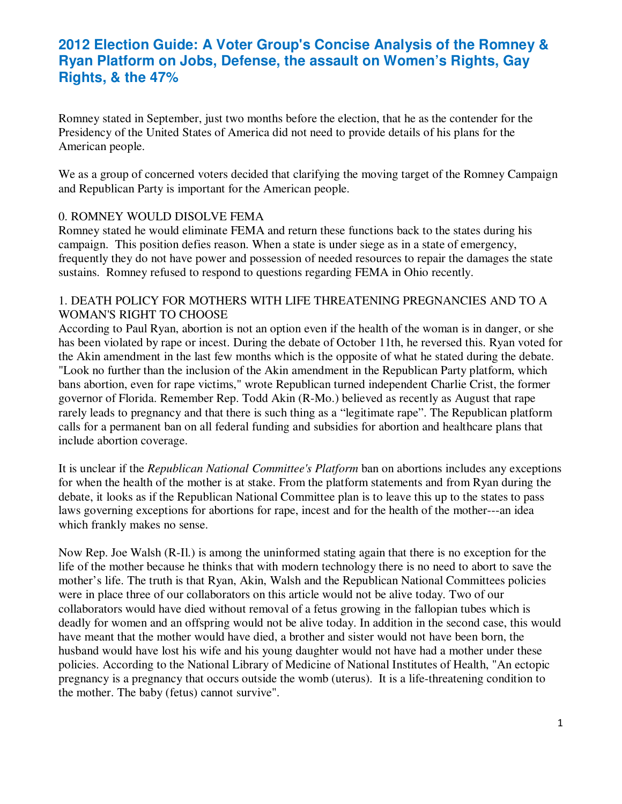Romney stated in September, just two months before the election, that he as the contender for the Presidency of the United States of America did not need to provide details of his plans for the American people.

We as a group of concerned voters decided that clarifying the moving target of the Romney Campaign and Republican Party is important for the American people.

## 0. ROMNEY WOULD DISOLVE FEMA

Romney stated he would eliminate FEMA and return these functions back to the states during his campaign. This position defies reason. When a state is under siege as in a state of emergency, frequently they do not have power and possession of needed resources to repair the damages the state sustains. Romney refused to respond to questions regarding FEMA in Ohio recently.

#### 1. DEATH POLICY FOR MOTHERS WITH LIFE THREATENING PREGNANCIES AND TO A WOMAN'S RIGHT TO CHOOSE

According to Paul Ryan, abortion is not an option even if the health of the woman is in danger, or she has been violated by rape or incest. During the debate of October 11th, he reversed this. Ryan voted for the Akin amendment in the last few months which is the opposite of what he stated during the debate. "Look no further than the inclusion of the Akin amendment in the Republican Party platform, which bans abortion, even for rape victims," wrote Republican turned independent Charlie Crist, the former governor of Florida. Remember Rep. Todd Akin (R-Mo.) believed as recently as August that rape rarely leads to pregnancy and that there is such thing as a "legitimate rape". The Republican platform calls for a permanent ban on all federal funding and subsidies for abortion and healthcare plans that include abortion coverage.

It is unclear if the *Republican National Committee's Platform* ban on abortions includes any exceptions for when the health of the mother is at stake. From the platform statements and from Ryan during the debate, it looks as if the Republican National Committee plan is to leave this up to the states to pass laws governing exceptions for abortions for rape, incest and for the health of the mother---an idea which frankly makes no sense.

Now Rep. Joe Walsh (R-Il.) is among the uninformed stating again that there is no exception for the life of the mother because he thinks that with modern technology there is no need to abort to save the mother's life. The truth is that Ryan, Akin, Walsh and the Republican National Committees policies were in place three of our collaborators on this article would not be alive today. Two of our collaborators would have died without removal of a fetus growing in the fallopian tubes which is deadly for women and an offspring would not be alive today. In addition in the second case, this would have meant that the mother would have died, a brother and sister would not have been born, the husband would have lost his wife and his young daughter would not have had a mother under these policies. According to the National Library of Medicine of National Institutes of Health, "An ectopic pregnancy is a pregnancy that occurs outside the womb (uterus). It is a life-threatening condition to the mother. The baby (fetus) cannot survive".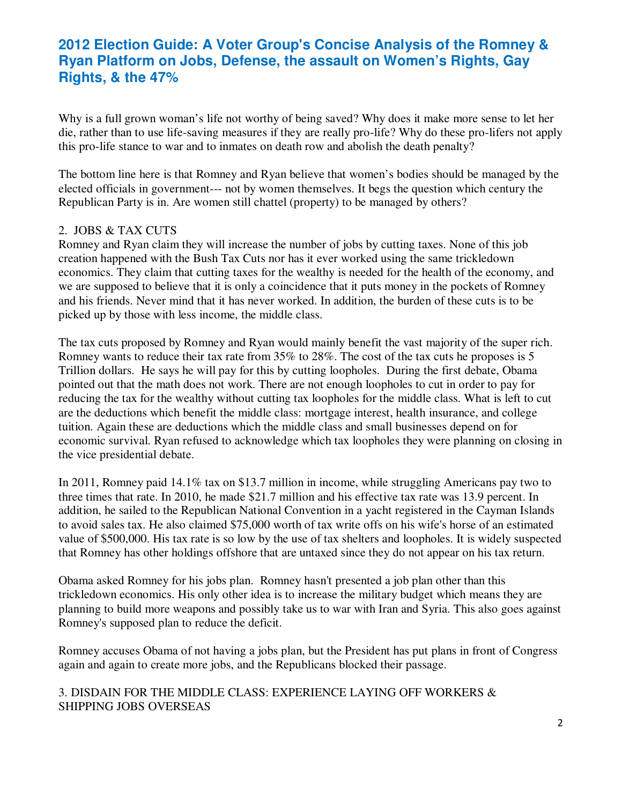Why is a full grown woman's life not worthy of being saved? Why does it make more sense to let her die, rather than to use life-saving measures if they are really pro-life? Why do these pro-lifers not apply this pro-life stance to war and to inmates on death row and abolish the death penalty?

The bottom line here is that Romney and Ryan believe that women's bodies should be managed by the elected officials in government--- not by women themselves. It begs the question which century the Republican Party is in. Are women still chattel (property) to be managed by others?

### 2. JOBS & TAX CUTS

Romney and Ryan claim they will increase the number of jobs by cutting taxes. None of this job creation happened with the Bush Tax Cuts nor has it ever worked using the same trickledown economics. They claim that cutting taxes for the wealthy is needed for the health of the economy, and we are supposed to believe that it is only a coincidence that it puts money in the pockets of Romney and his friends. Never mind that it has never worked. In addition, the burden of these cuts is to be picked up by those with less income, the middle class.

The tax cuts proposed by Romney and Ryan would mainly benefit the vast majority of the super rich. Romney wants to reduce their tax rate from 35% to 28%. The cost of the tax cuts he proposes is 5 Trillion dollars. He says he will pay for this by cutting loopholes. During the first debate, Obama pointed out that the math does not work. There are not enough loopholes to cut in order to pay for reducing the tax for the wealthy without cutting tax loopholes for the middle class. What is left to cut are the deductions which benefit the middle class: mortgage interest, health insurance, and college tuition. Again these are deductions which the middle class and small businesses depend on for economic survival. Ryan refused to acknowledge which tax loopholes they were planning on closing in the vice presidential debate.

In 2011, Romney paid 14.1% tax on \$13.7 million in income, while struggling Americans pay two to three times that rate. In 2010, he made \$21.7 million and his effective tax rate was 13.9 percent. In addition, he sailed to the Republican National Convention in a yacht registered in the Cayman Islands to avoid sales tax. He also claimed \$75,000 worth of tax write offs on his wife's horse of an estimated value of \$500,000. His tax rate is so low by the use of tax shelters and loopholes. It is widely suspected that Romney has other holdings offshore that are untaxed since they do not appear on his tax return.

Obama asked Romney for his jobs plan. Romney hasn't presented a job plan other than this trickledown economics. His only other idea is to increase the military budget which means they are planning to build more weapons and possibly take us to war with Iran and Syria. This also goes against Romney's supposed plan to reduce the deficit.

Romney accuses Obama of not having a jobs plan, but the President has put plans in front of Congress again and again to create more jobs, and the Republicans blocked their passage.

### 3. DISDAIN FOR THE MIDDLE CLASS: EXPERIENCE LAYING OFF WORKERS & SHIPPING JOBS OVERSEAS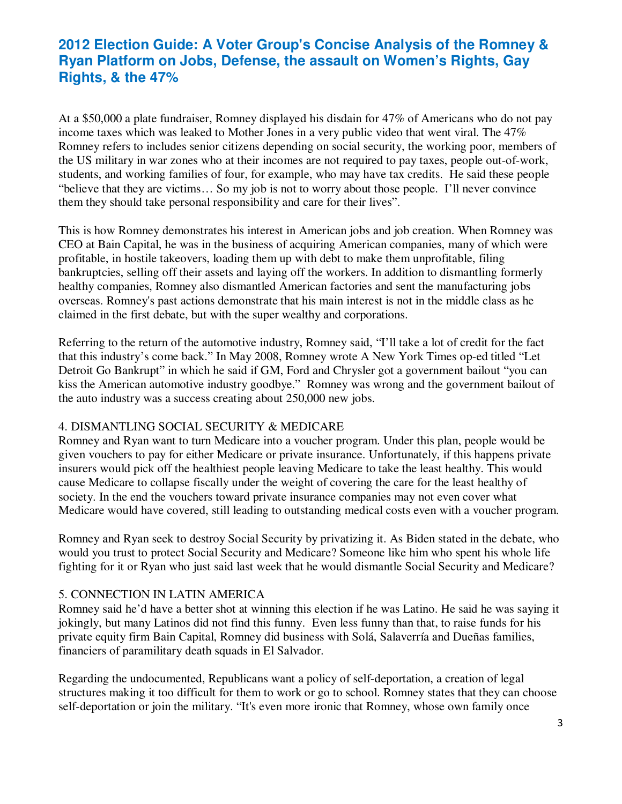At a \$50,000 a plate fundraiser, Romney displayed his disdain for 47% of Americans who do not pay income taxes which was leaked to Mother Jones in a very public video that went viral. The 47% Romney refers to includes senior citizens depending on social security, the working poor, members of the US military in war zones who at their incomes are not required to pay taxes, people out-of-work, students, and working families of four, for example, who may have tax credits. He said these people "believe that they are victims… So my job is not to worry about those people. I'll never convince them they should take personal responsibility and care for their lives".

This is how Romney demonstrates his interest in American jobs and job creation. When Romney was CEO at Bain Capital, he was in the business of acquiring American companies, many of which were profitable, in hostile takeovers, loading them up with debt to make them unprofitable, filing bankruptcies, selling off their assets and laying off the workers. In addition to dismantling formerly healthy companies, Romney also dismantled American factories and sent the manufacturing jobs overseas. Romney's past actions demonstrate that his main interest is not in the middle class as he claimed in the first debate, but with the super wealthy and corporations.

Referring to the return of the automotive industry, Romney said, "I'll take a lot of credit for the fact that this industry's come back." In May 2008, Romney wrote A New York Times op-ed titled "Let Detroit Go Bankrupt" in which he said if GM, Ford and Chrysler got a government bailout "you can kiss the American automotive industry goodbye." Romney was wrong and the government bailout of the auto industry was a success creating about 250,000 new jobs.

## 4. DISMANTLING SOCIAL SECURITY & MEDICARE

Romney and Ryan want to turn Medicare into a voucher program. Under this plan, people would be given vouchers to pay for either Medicare or private insurance. Unfortunately, if this happens private insurers would pick off the healthiest people leaving Medicare to take the least healthy. This would cause Medicare to collapse fiscally under the weight of covering the care for the least healthy of society. In the end the vouchers toward private insurance companies may not even cover what Medicare would have covered, still leading to outstanding medical costs even with a voucher program.

Romney and Ryan seek to destroy Social Security by privatizing it. As Biden stated in the debate, who would you trust to protect Social Security and Medicare? Someone like him who spent his whole life fighting for it or Ryan who just said last week that he would dismantle Social Security and Medicare?

## 5. CONNECTION IN LATIN AMERICA

Romney said he'd have a better shot at winning this election if he was Latino. He said he was saying it jokingly, but many Latinos did not find this funny. Even less funny than that, to raise funds for his private equity firm Bain Capital, Romney did business with Solá, Salaverría and Dueñas families, financiers of paramilitary death squads in El Salvador.

Regarding the undocumented, Republicans want a policy of self-deportation, a creation of legal structures making it too difficult for them to work or go to school. Romney states that they can choose self-deportation or join the military. "It's even more ironic that Romney, whose own family once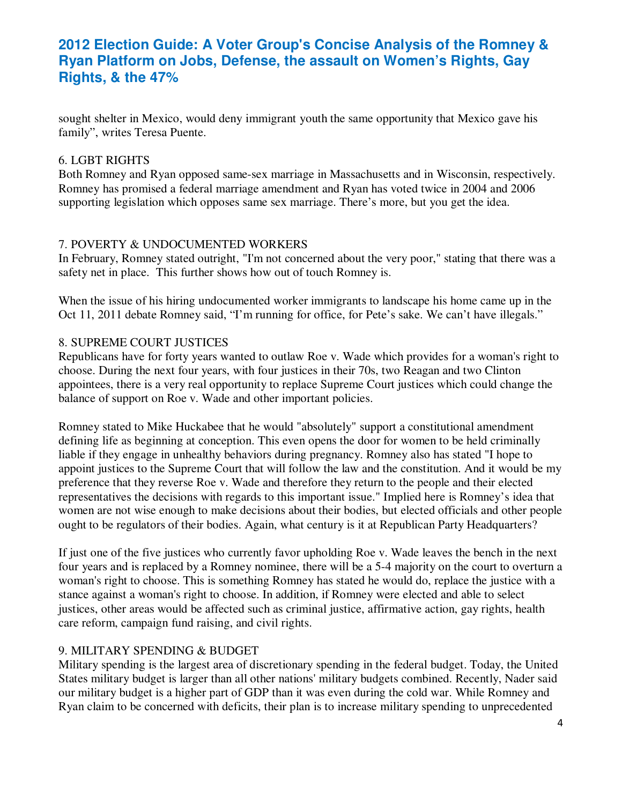sought shelter in Mexico, would deny immigrant youth the same opportunity that Mexico gave his family", writes Teresa Puente.

### 6. LGBT RIGHTS

Both Romney and Ryan opposed same-sex marriage in Massachusetts and in Wisconsin, respectively. Romney has promised a federal marriage amendment and Ryan has voted twice in 2004 and 2006 supporting legislation which opposes same sex marriage. There's more, but you get the idea.

## 7. POVERTY & UNDOCUMENTED WORKERS

In February, Romney stated outright, "I'm not concerned about the very poor," stating that there was a safety net in place. This further shows how out of touch Romney is.

When the issue of his hiring undocumented worker immigrants to landscape his home came up in the Oct 11, 2011 debate Romney said, "I'm running for office, for Pete's sake. We can't have illegals."

### 8. SUPREME COURT JUSTICES

Republicans have for forty years wanted to outlaw Roe v. Wade which provides for a woman's right to choose. During the next four years, with four justices in their 70s, two Reagan and two Clinton appointees, there is a very real opportunity to replace Supreme Court justices which could change the balance of support on Roe v. Wade and other important policies.

Romney stated to Mike Huckabee that he would "absolutely" support a constitutional amendment defining life as beginning at conception. This even opens the door for women to be held criminally liable if they engage in unhealthy behaviors during pregnancy. Romney also has stated "I hope to appoint justices to the Supreme Court that will follow the law and the constitution. And it would be my preference that they reverse Roe v. Wade and therefore they return to the people and their elected representatives the decisions with regards to this important issue." Implied here is Romney's idea that women are not wise enough to make decisions about their bodies, but elected officials and other people ought to be regulators of their bodies. Again, what century is it at Republican Party Headquarters?

If just one of the five justices who currently favor upholding Roe v. Wade leaves the bench in the next four years and is replaced by a Romney nominee, there will be a 5-4 majority on the court to overturn a woman's right to choose. This is something Romney has stated he would do, replace the justice with a stance against a woman's right to choose. In addition, if Romney were elected and able to select justices, other areas would be affected such as criminal justice, affirmative action, gay rights, health care reform, campaign fund raising, and civil rights.

## 9. MILITARY SPENDING & BUDGET

Military spending is the largest area of discretionary spending in the federal budget. Today, the United States military budget is larger than all other nations' military budgets combined. Recently, Nader said our military budget is a higher part of GDP than it was even during the cold war. While Romney and Ryan claim to be concerned with deficits, their plan is to increase military spending to unprecedented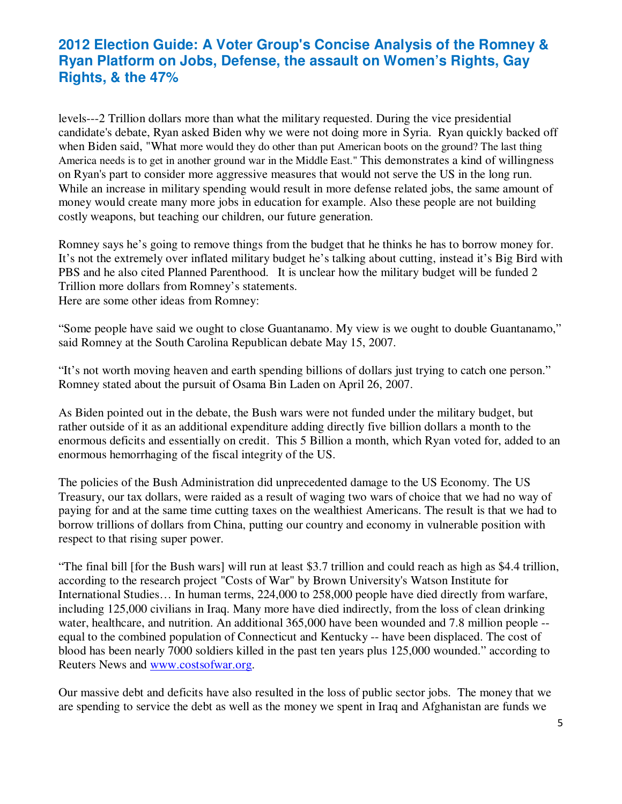levels---2 Trillion dollars more than what the military requested. During the vice presidential candidate's debate, Ryan asked Biden why we were not doing more in Syria. Ryan quickly backed off when Biden said, "What more would they do other than put American boots on the ground? The last thing America needs is to get in another ground war in the Middle East." This demonstrates a kind of willingness on Ryan's part to consider more aggressive measures that would not serve the US in the long run. While an increase in military spending would result in more defense related jobs, the same amount of money would create many more jobs in education for example. Also these people are not building costly weapons, but teaching our children, our future generation.

Romney says he's going to remove things from the budget that he thinks he has to borrow money for. It's not the extremely over inflated military budget he's talking about cutting, instead it's Big Bird with PBS and he also cited Planned Parenthood. It is unclear how the military budget will be funded 2 Trillion more dollars from Romney's statements. Here are some other ideas from Romney:

"Some people have said we ought to close Guantanamo. My view is we ought to double Guantanamo," said Romney at the South Carolina Republican debate May 15, 2007.

"It's not worth moving heaven and earth spending billions of dollars just trying to catch one person." Romney stated about the pursuit of Osama Bin Laden on April 26, 2007.

As Biden pointed out in the debate, the Bush wars were not funded under the military budget, but rather outside of it as an additional expenditure adding directly five billion dollars a month to the enormous deficits and essentially on credit. This 5 Billion a month, which Ryan voted for, added to an enormous hemorrhaging of the fiscal integrity of the US.

The policies of the Bush Administration did unprecedented damage to the US Economy. The US Treasury, our tax dollars, were raided as a result of waging two wars of choice that we had no way of paying for and at the same time cutting taxes on the wealthiest Americans. The result is that we had to borrow trillions of dollars from China, putting our country and economy in vulnerable position with respect to that rising super power.

"The final bill [for the Bush wars] will run at least \$3.7 trillion and could reach as high as \$4.4 trillion, according to the research project "Costs of War" by Brown University's Watson Institute for International Studies… In human terms, 224,000 to 258,000 people have died directly from warfare, including 125,000 civilians in Iraq. Many more have died indirectly, from the loss of clean drinking water, healthcare, and nutrition. An additional 365,000 have been wounded and 7.8 million people -equal to the combined population of Connecticut and Kentucky -- have been displaced. The cost of blood has been nearly 7000 soldiers killed in the past ten years plus 125,000 wounded." according to Reuters News and www.costsofwar.org.

Our massive debt and deficits have also resulted in the loss of public sector jobs. The money that we are spending to service the debt as well as the money we spent in Iraq and Afghanistan are funds we